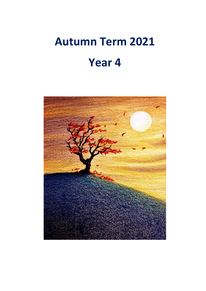# **Autumn Term 2021 Year 4**

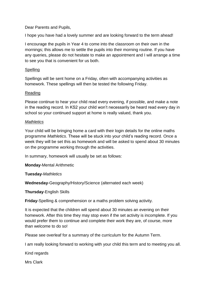#### Dear Parents and Pupils,

I hope you have had a lovely summer and are looking forward to the term ahead!

I encourage the pupils in Year 4 to come into the classroom on their own in the mornings; this allows me to settle the pupils into their morning routine. If you have any queries, please do not hesitate to make an appointment and I will arrange a time to see you that is convenient for us both.

#### **Spelling**

Spellings will be sent home on a Friday, often with accompanying activities as homework. These spellings will then be tested the following Friday.

#### Reading

Please continue to hear your child read every evening, if possible, and make a note in the reading record. In KS2 your child won't necessarily be heard read every day in school so your continued support at home is really valued, thank you.

#### *Mathletics*

Your child will be bringing home a card with their login details for the online maths programme *Mathletics*. These will be stuck into your child's reading record. Once a week they will be set this as homework and will be asked to spend about 30 minutes on the programme working through the activities.

In summary, homework will usually be set as follows:

**Monday**-Mental Arithmetic

**Tuesday**-*Mathletics*

**Wednesday**-Geography/History/Science (alternated each week)

**Thursday**-English Skills

**Friday**-Spelling & comprehension or a maths problem solving activity.

It is expected that the children will spend about 30 minutes an evening on their homework. After this time they may stop even if the set activity is incomplete. If you would prefer them to continue and complete their work they are, of course, more than welcome to do so!

Please see overleaf for a summary of the curriculum for the Autumn Term.

I am really looking forward to working with your child this term and to meeting you all.

Kind regards

Mrs Clark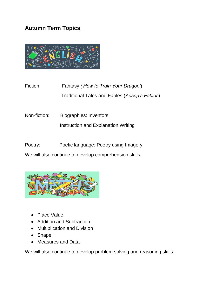## **Autumn Term Topics**



Fiction: Fantasy *('How to Train Your Dragon'*) Traditional Tales and Fables (*Aesop's Fables*)

Non-fiction: Biographies: Inventors Instruction and Explanation Writing

Poetry: Poetic language: Poetry using Imagery

We will also continue to develop comprehension skills.



- Place Value
- Addition and Subtraction
- Multiplication and Division
- Shape
- Measures and Data

We will also continue to develop problem solving and reasoning skills.